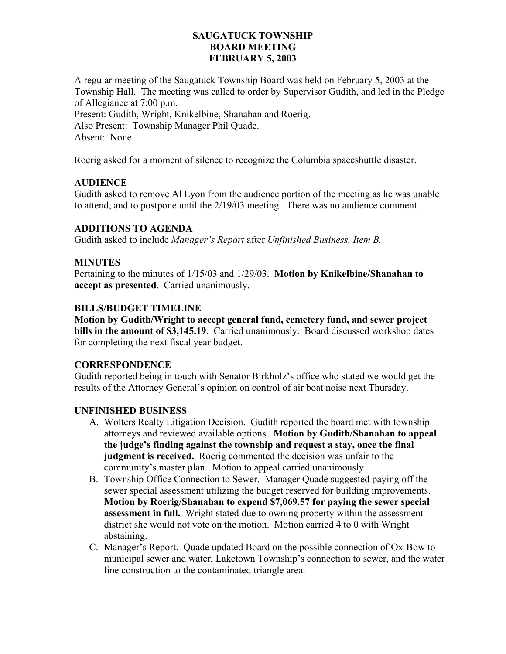### **SAUGATUCK TOWNSHIP BOARD MEETING FEBRUARY 5, 2003**

A regular meeting of the Saugatuck Township Board was held on February 5, 2003 at the Township Hall. The meeting was called to order by Supervisor Gudith, and led in the Pledge of Allegiance at 7:00 p.m. Present: Gudith, Wright, Knikelbine, Shanahan and Roerig. Also Present: Township Manager Phil Quade. Absent: None.

Roerig asked for a moment of silence to recognize the Columbia spaceshuttle disaster.

### **AUDIENCE**

Gudith asked to remove Al Lyon from the audience portion of the meeting as he was unable to attend, and to postpone until the 2/19/03 meeting. There was no audience comment.

### **ADDITIONS TO AGENDA**

Gudith asked to include *Manager's Report* after *Unfinished Business, Item B.* 

#### **MINUTES**

Pertaining to the minutes of 1/15/03 and 1/29/03. **Motion by Knikelbine/Shanahan to accept as presented**. Carried unanimously.

#### **BILLS/BUDGET TIMELINE**

**Motion by Gudith/Wright to accept general fund, cemetery fund, and sewer project bills in the amount of \$3,145.19**. Carried unanimously. Board discussed workshop dates for completing the next fiscal year budget.

#### **CORRESPONDENCE**

Gudith reported being in touch with Senator Birkholz's office who stated we would get the results of the Attorney General's opinion on control of air boat noise next Thursday.

#### **UNFINISHED BUSINESS**

- A. Wolters Realty Litigation Decision. Gudith reported the board met with township attorneys and reviewed available options. **Motion by Gudith/Shanahan to appeal the judge's finding against the township and request a stay, once the final judgment is received.** Roerig commented the decision was unfair to the community's master plan. Motion to appeal carried unanimously.
- B. Township Office Connection to Sewer. Manager Quade suggested paying off the sewer special assessment utilizing the budget reserved for building improvements. **Motion by Roerig/Shanahan to expend \$7,069.57 for paying the sewer special assessment in full.** Wright stated due to owning property within the assessment district she would not vote on the motion. Motion carried 4 to 0 with Wright abstaining.
- C. Manager's Report. Quade updated Board on the possible connection of Ox-Bow to municipal sewer and water, Laketown Township's connection to sewer, and the water line construction to the contaminated triangle area.